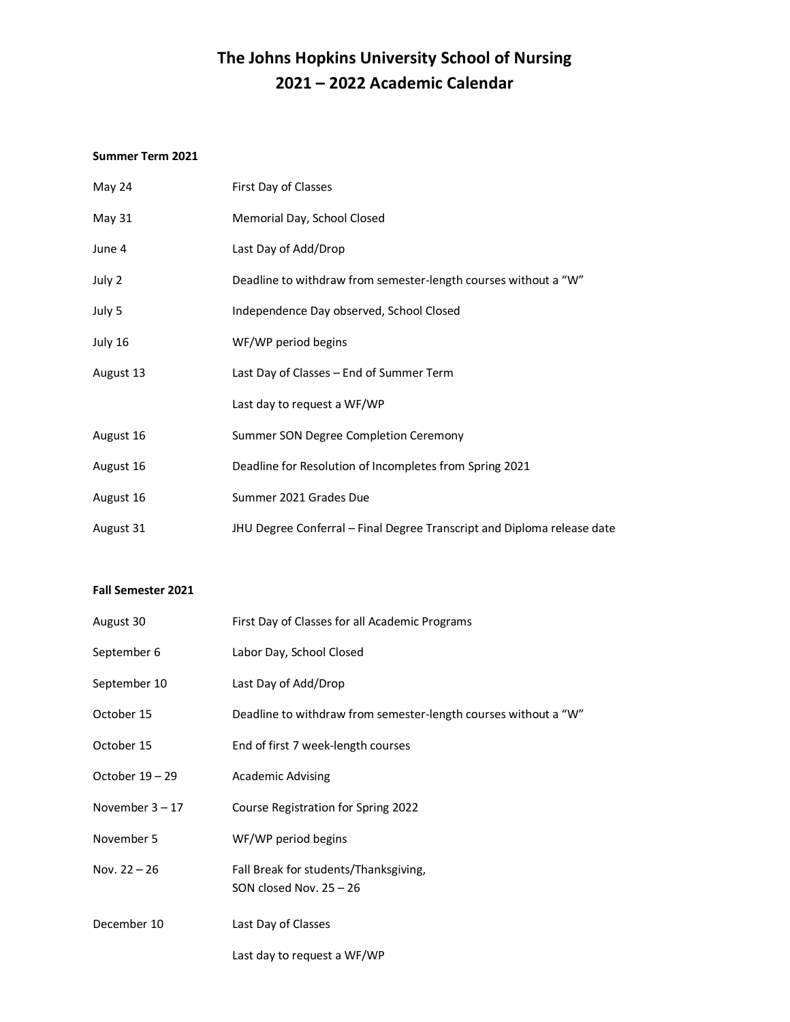# **The Johns Hopkins University School of Nursing 2021 – 2022 Academic Calendar**

#### **Summer Term 2021**

| May 24        | First Day of Classes                                                    |
|---------------|-------------------------------------------------------------------------|
| <b>May 31</b> | Memorial Day, School Closed                                             |
| June 4        | Last Day of Add/Drop                                                    |
| July 2        | Deadline to withdraw from semester-length courses without a "W"         |
| July 5        | Independence Day observed, School Closed                                |
| July 16       | WF/WP period begins                                                     |
| August 13     | Last Day of Classes – End of Summer Term                                |
|               | Last day to request a WF/WP                                             |
| August 16     | Summer SON Degree Completion Ceremony                                   |
| August 16     | Deadline for Resolution of Incompletes from Spring 2021                 |
| August 16     | Summer 2021 Grades Due                                                  |
| August 31     | JHU Degree Conferral – Final Degree Transcript and Diploma release date |

### **Fall Semester 2021**

| August 30         | First Day of Classes for all Academic Programs                     |
|-------------------|--------------------------------------------------------------------|
| September 6       | Labor Day, School Closed                                           |
| September 10      | Last Day of Add/Drop                                               |
| October 15        | Deadline to withdraw from semester-length courses without a "W"    |
| October 15        | End of first 7 week-length courses                                 |
| October 19 - 29   | <b>Academic Advising</b>                                           |
| November $3 - 17$ | Course Registration for Spring 2022                                |
| November 5        | WF/WP period begins                                                |
| Nov. 22 - 26      | Fall Break for students/Thanksgiving,<br>SON closed Nov. $25 - 26$ |
| December 10       | Last Day of Classes                                                |
|                   | Last day to request a WF/WP                                        |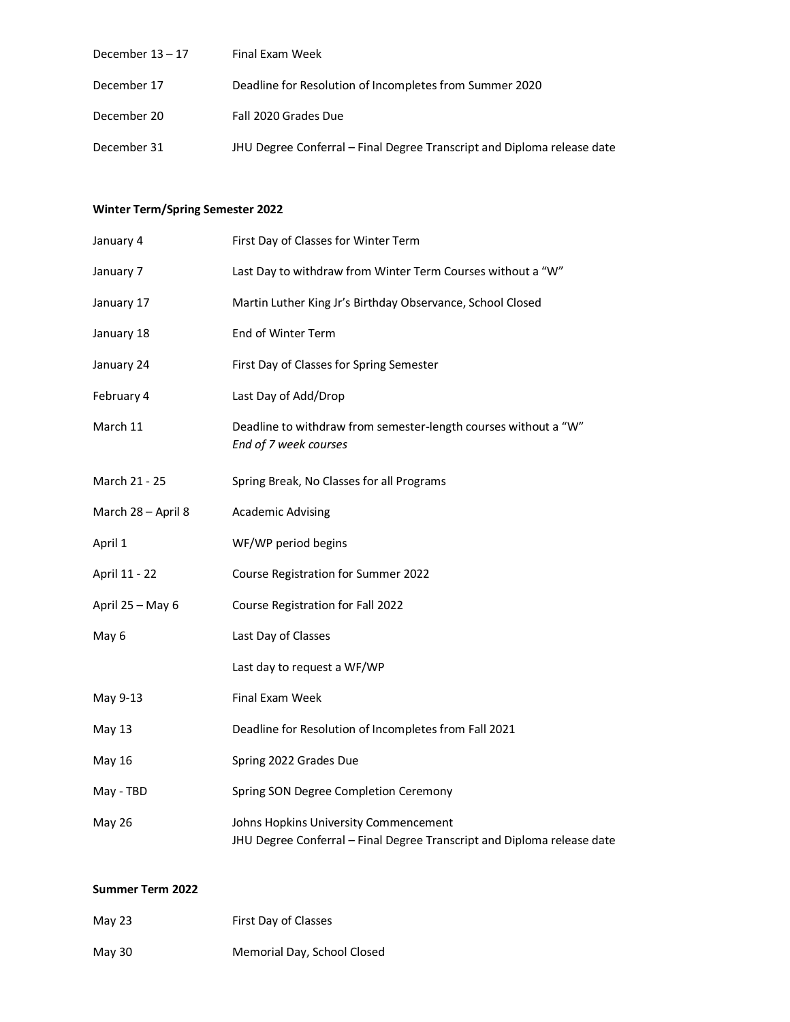| December $13 - 17$ | Final Exam Week                                                         |
|--------------------|-------------------------------------------------------------------------|
| December 17        | Deadline for Resolution of Incompletes from Summer 2020                 |
| December 20        | Fall 2020 Grades Due                                                    |
| December 31        | JHU Degree Conferral - Final Degree Transcript and Diploma release date |

## **Winter Term/Spring Semester 2022**

| January 4          | First Day of Classes for Winter Term                                                                             |
|--------------------|------------------------------------------------------------------------------------------------------------------|
| January 7          | Last Day to withdraw from Winter Term Courses without a "W"                                                      |
| January 17         | Martin Luther King Jr's Birthday Observance, School Closed                                                       |
| January 18         | End of Winter Term                                                                                               |
| January 24         | First Day of Classes for Spring Semester                                                                         |
| February 4         | Last Day of Add/Drop                                                                                             |
| March 11           | Deadline to withdraw from semester-length courses without a "W"<br>End of 7 week courses                         |
| March 21 - 25      | Spring Break, No Classes for all Programs                                                                        |
| March 28 - April 8 | <b>Academic Advising</b>                                                                                         |
| April 1            | WF/WP period begins                                                                                              |
| April 11 - 22      | Course Registration for Summer 2022                                                                              |
| April 25 - May 6   | Course Registration for Fall 2022                                                                                |
| May 6              | Last Day of Classes                                                                                              |
|                    | Last day to request a WF/WP                                                                                      |
| May 9-13           | Final Exam Week                                                                                                  |
| May 13             | Deadline for Resolution of Incompletes from Fall 2021                                                            |
| May 16             | Spring 2022 Grades Due                                                                                           |
| May - TBD          | Spring SON Degree Completion Ceremony                                                                            |
| <b>May 26</b>      | Johns Hopkins University Commencement<br>JHU Degree Conferral - Final Degree Transcript and Diploma release date |

### **Summer Term 2022**

| May $23$ | First Day of Classes        |
|----------|-----------------------------|
| May 30   | Memorial Day, School Closed |